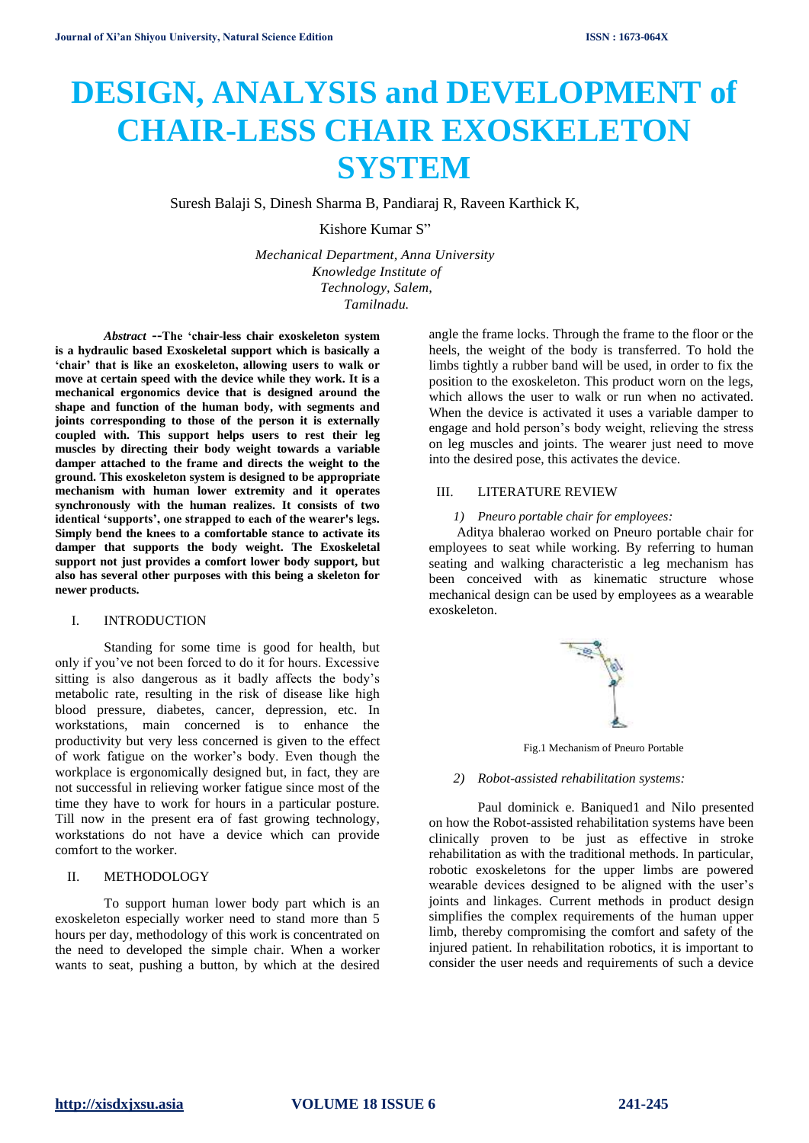# **DESIGN, ANALYSIS and DEVELOPMENT of CHAIR-LESS CHAIR EXOSKELETON SYSTEM**

Suresh Balaji S, Dinesh Sharma B, Pandiaraj R, Raveen Karthick K,

Kishore Kumar S"

*Mechanical Department, Anna University Knowledge Institute of Technology, Salem, Tamilnadu.*

*Abstract* **--The 'chair-less chair exoskeleton system is a hydraulic based Exoskeletal support which is basically a 'chair' that is like an exoskeleton, allowing users to walk or move at certain speed with the device while they work. It is a mechanical ergonomics device that is designed around the shape and function of the human body, with segments and joints corresponding to those of the person it is externally coupled with. This support helps users to rest their leg muscles by directing their body weight towards a variable damper attached to the frame and directs the weight to the ground. This exoskeleton system is designed to be appropriate mechanism with human lower extremity and it operates synchronously with the human realizes. It consists of two identical 'supports', one strapped to each of the wearer's legs. Simply bend the knees to a comfortable stance to activate its damper that supports the body weight. The Exoskeletal support not just provides a comfort lower body support, but also has several other purposes with this being a skeleton for newer products.** 

#### I. INTRODUCTION

Standing for some time is good for health, but only if you've not been forced to do it for hours. Excessive sitting is also dangerous as it badly affects the body's metabolic rate, resulting in the risk of disease like high blood pressure, diabetes, cancer, depression, etc. In workstations, main concerned is to enhance the productivity but very less concerned is given to the effect of work fatigue on the worker's body. Even though the workplace is ergonomically designed but, in fact, they are not successful in relieving worker fatigue since most of the time they have to work for hours in a particular posture. Till now in the present era of fast growing technology, workstations do not have a device which can provide comfort to the worker.

### II. METHODOLOGY

To support human lower body part which is an exoskeleton especially worker need to stand more than 5 hours per day, methodology of this work is concentrated on the need to developed the simple chair. When a worker wants to seat, pushing a button, by which at the desired

angle the frame locks. Through the frame to the floor or the heels, the weight of the body is transferred. To hold the limbs tightly a rubber band will be used, in order to fix the position to the exoskeleton. This product worn on the legs, which allows the user to walk or run when no activated. When the device is activated it uses a variable damper to engage and hold person's body weight, relieving the stress on leg muscles and joints. The wearer just need to move into the desired pose, this activates the device.

#### III. LITERATURE REVIEW

#### *1) Pneuro portable chair for employees:*

Aditya bhalerao worked on Pneuro portable chair for employees to seat while working. By referring to human seating and walking characteristic a leg mechanism has been conceived with as kinematic structure whose mechanical design can be used by employees as a wearable exoskeleton.



Fig.1 Mechanism of Pneuro Portable

#### *2) Robot-assisted rehabilitation systems:*

Paul dominick e. Baniqued1 and Nilo presented on how the Robot-assisted rehabilitation systems have been clinically proven to be just as effective in stroke rehabilitation as with the traditional methods. In particular, robotic exoskeletons for the upper limbs are powered wearable devices designed to be aligned with the user's joints and linkages. Current methods in product design simplifies the complex requirements of the human upper limb, thereby compromising the comfort and safety of the injured patient. In rehabilitation robotics, it is important to consider the user needs and requirements of such a device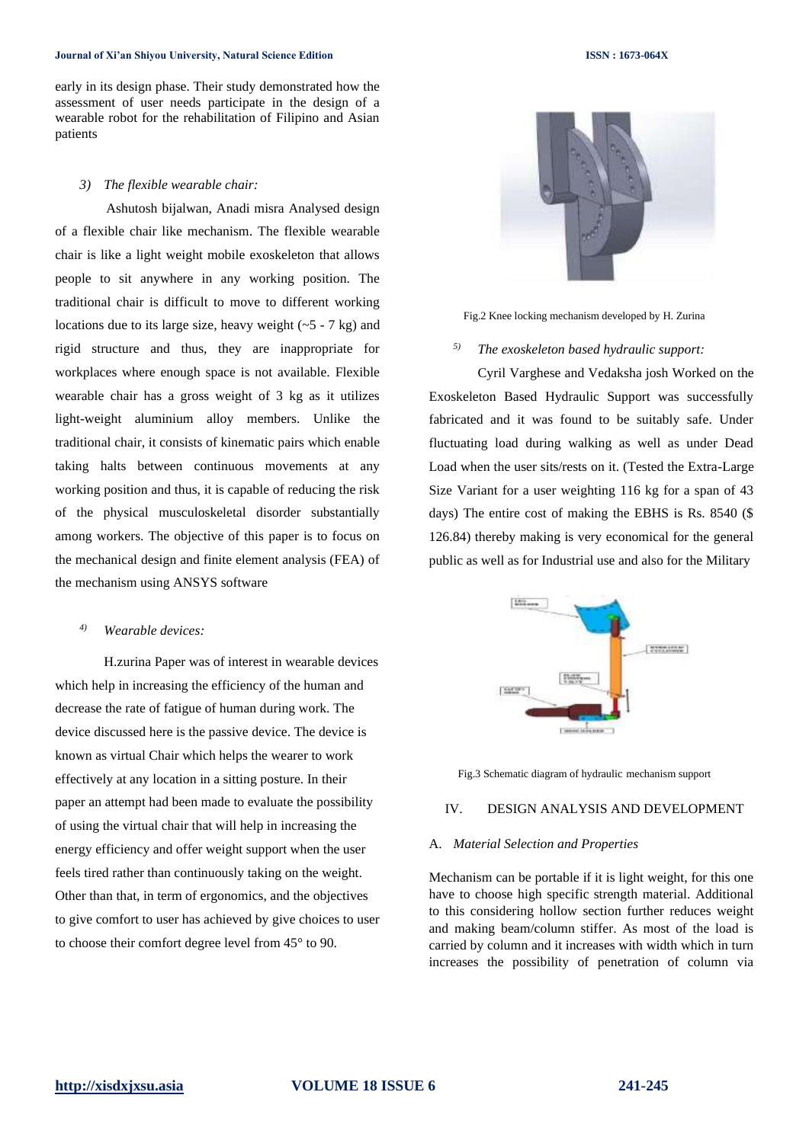#### **Journal of Xi'an Shiyou University, Natural Science Edition ISSN : 1673-064X**

early in its design phase. Their study demonstrated how the assessment of user needs participate in the design of a wearable robot for the rehabilitation of Filipino and Asian patients

#### *3) The flexible wearable chair:*

Ashutosh bijalwan, Anadi misra Analysed design of a flexible chair like mechanism. The flexible wearable chair is like a light weight mobile exoskeleton that allows people to sit anywhere in any working position. The traditional chair is difficult to move to different working locations due to its large size, heavy weight  $(-5 - 7 \text{ kg})$  and rigid structure and thus, they are inappropriate for workplaces where enough space is not available. Flexible wearable chair has a gross weight of 3 kg as it utilizes light-weight aluminium alloy members. Unlike the traditional chair, it consists of kinematic pairs which enable taking halts between continuous movements at any working position and thus, it is capable of reducing the risk of the physical musculoskeletal disorder substantially among workers. The objective of this paper is to focus on the mechanical design and finite element analysis (FEA) of the mechanism using ANSYS software

### *4) Wearable devices:*

H.zurina Paper was of interest in wearable devices which help in increasing the efficiency of the human and decrease the rate of fatigue of human during work. The device discussed here is the passive device. The device is known as virtual Chair which helps the wearer to work effectively at any location in a sitting posture. In their paper an attempt had been made to evaluate the possibility of using the virtual chair that will help in increasing the energy efficiency and offer weight support when the user feels tired rather than continuously taking on the weight. Other than that, in term of ergonomics, and the objectives to give comfort to user has achieved by give choices to user to choose their comfort degree level from 45° to 90.



Fig.2 Knee locking mechanism developed by H. Zurina

#### *5) The exoskeleton based hydraulic support:*

Cyril Varghese and Vedaksha josh Worked on the Exoskeleton Based Hydraulic Support was successfully fabricated and it was found to be suitably safe. Under fluctuating load during walking as well as under Dead Load when the user sits/rests on it. (Tested the Extra-Large Size Variant for a user weighting 116 kg for a span of 43 days) The entire cost of making the EBHS is Rs. 8540 (\$ 126.84) thereby making is very economical for the general public as well as for Industrial use and also for the Military





#### IV. DESIGN ANALYSIS AND DEVELOPMENT

#### A. *Material Selection and Properties*

Mechanism can be portable if it is light weight, for this one have to choose high specific strength material. Additional to this considering hollow section further reduces weight and making beam/column stiffer. As most of the load is carried by column and it increases with width which in turn increases the possibility of penetration of column via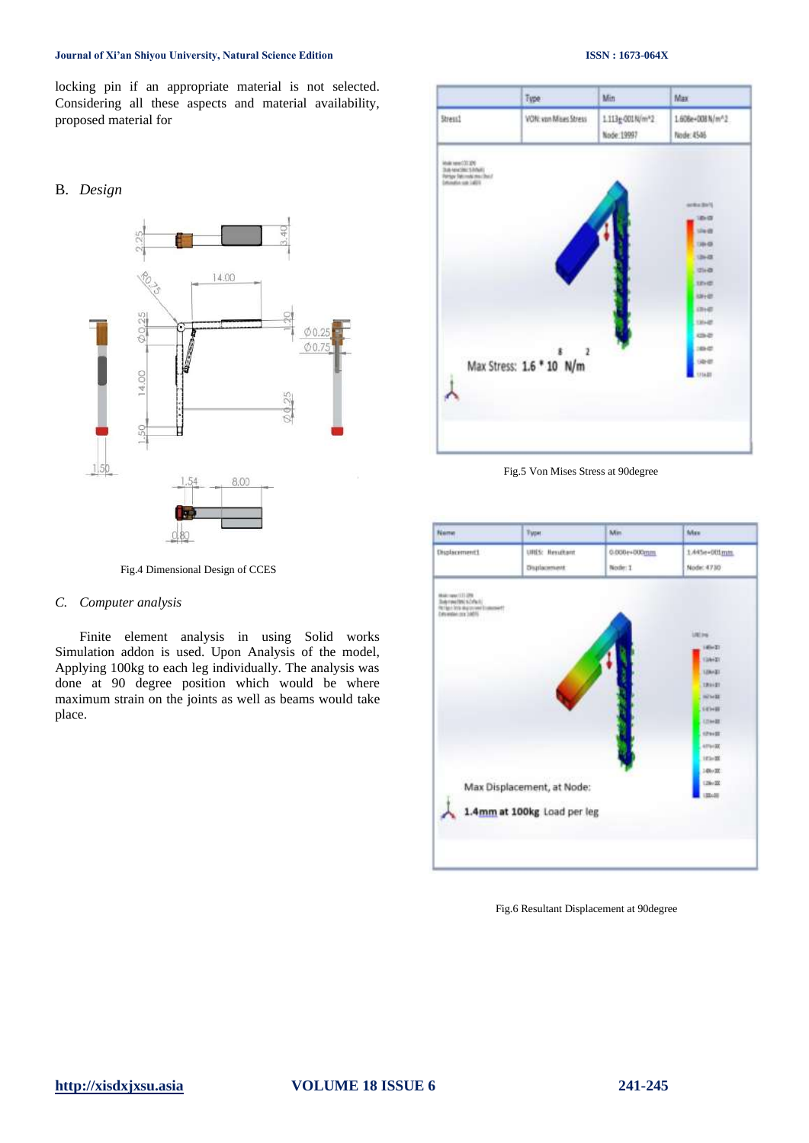#### **Journal of Xi'an Shiyou University, Natural Science Edition ISSN : 1673-064X**

locking pin if an appropriate material is not selected. Considering all these aspects and material availability, proposed material for

#### B. *Design*



Fig.4 Dimensional Design of CCES

#### *C. Computer analysis*

Finite element analysis in using Solid works Simulation addon is used. Upon Analysis of the model, Applying 100kg to each leg individually. The analysis was done at 90 degree position which would be where maximum strain on the joints as well as beams would take place.

## Type Min Max Stress1 VON: von Mises Stress 1.113g-001N/m<sup>\*2</sup> 1.606e+008N/m^2 Node: 19997 Node: 4546 n e  $rac{1}{2}$ Max Stress: 1.6 \* 10 N/m

Fig.5 Von Mises Stress at 90degree



Fig.6 Resultant Displacement at 90degree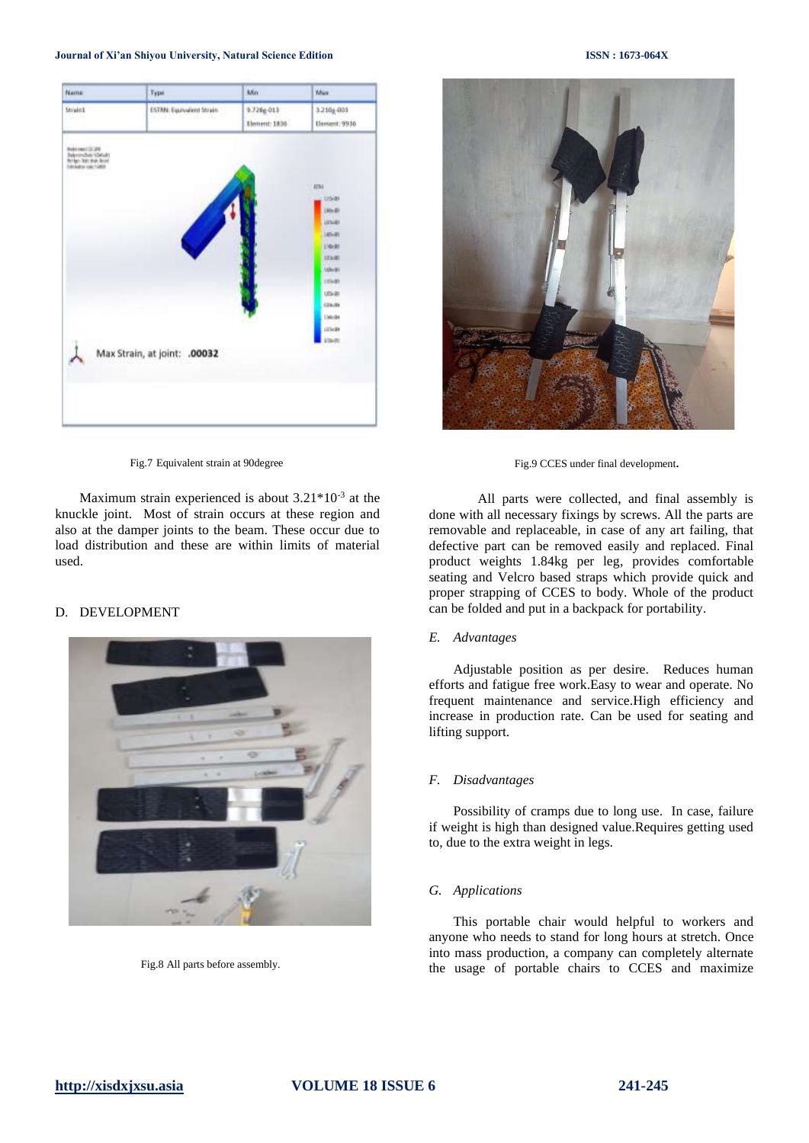

Fig.7 Equivalent strain at 90degree

Maximum strain experienced is about  $3.21*10<sup>-3</sup>$  at the knuckle joint. Most of strain occurs at these region and also at the damper joints to the beam. These occur due to load distribution and these are within limits of material used.

#### D. DEVELOPMENT



Fig.8 All parts before assembly.



Fig.9 CCES under final development**.**

All parts were collected, and final assembly is done with all necessary fixings by screws. All the parts are removable and replaceable, in case of any art failing, that defective part can be removed easily and replaced. Final product weights 1.84kg per leg, provides comfortable seating and Velcro based straps which provide quick and proper strapping of CCES to body. Whole of the product can be folded and put in a backpack for portability.

#### *E. Advantages*

Adjustable position as per desire. Reduces human efforts and fatigue free work.Easy to wear and operate. No frequent maintenance and service.High efficiency and increase in production rate. Can be used for seating and lifting support.

#### *F. Disadvantages*

Possibility of cramps due to long use. In case, failure if weight is high than designed value.Requires getting used to, due to the extra weight in legs.

#### *G. Applications*

This portable chair would helpful to workers and anyone who needs to stand for long hours at stretch. Once into mass production, a company can completely alternate the usage of portable chairs to CCES and maximize